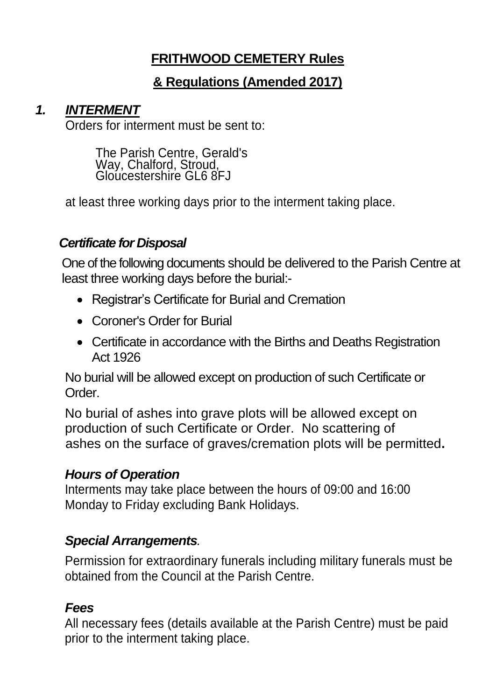# **FRITHWOOD CEMETERY Rules**

## **& Regulations (Amended 2017)**

### *1. INTERMENT*

Orders for interment must be sent to:

The Parish Centre, Gerald's Way, Chalford, Stroud, Gloucestershire GL6 8FJ

at least three working days prior to the interment taking place.

#### *Certificate for Disposal*

One of the following documents should be delivered to the Parish Centre at least three working days before the burial:-

- Registrar's Certificate for Burial and Cremation
- Coroner's Order for Burial
- Certificate in accordance with the Births and Deaths Registration Act 1926

No burial will be allowed except on production of such Certificate or Order.

No burial of ashes into grave plots will be allowed except on production of such Certificate or Order. No scattering of ashes on the surface of graves/cremation plots will be permitted**.**

#### *Hours of Operation*

Interments may take place between the hours of 09:00 and 16:00 Monday to Friday excluding Bank Holidays.

## *Special Arrangements.*

Permission for extraordinary funerals including military funerals must be obtained from the Council at the Parish Centre.

## *Fees*

All necessary fees (details available at the Parish Centre) must be paid prior to the interment taking place.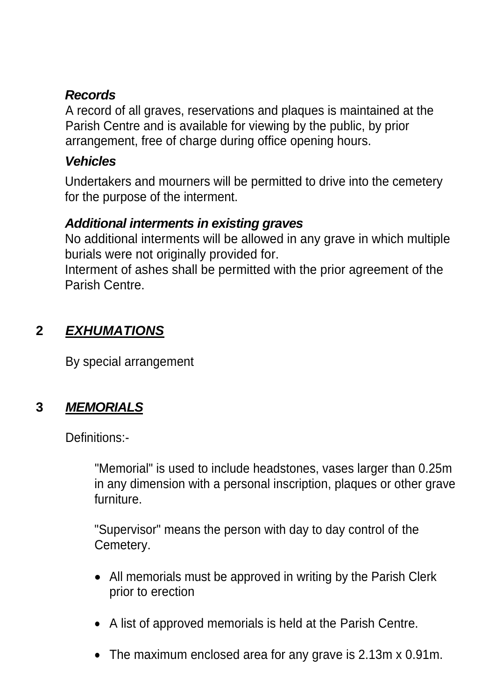### *Records*

A record of all graves, reservations and plaques is maintained at the Parish Centre and is available for viewing by the public, by prior arrangement, free of charge during office opening hours.

#### *Vehicles*

Undertakers and mourners will be permitted to drive into the cemetery for the purpose of the interment.

### *Additional interments in existing graves*

No additional interments will be allowed in any grave in which multiple burials were not originally provided for.

Interment of ashes shall be permitted with the prior agreement of the Parish Centre.

## **2** *EXHUMATIONS*

By special arrangement

# **3** *MEMORIALS*

Definitions:-

"Memorial" is used to include headstones, vases larger than 0.25m in any dimension with a personal inscription, plaques or other grave furniture.

"Supervisor" means the person with day to day control of the Cemetery.

- All memorials must be approved in writing by the Parish Clerk prior to erection
- A list of approved memorials is held at the Parish Centre.
- The maximum enclosed area for any grave is 2.13m x 0.91m.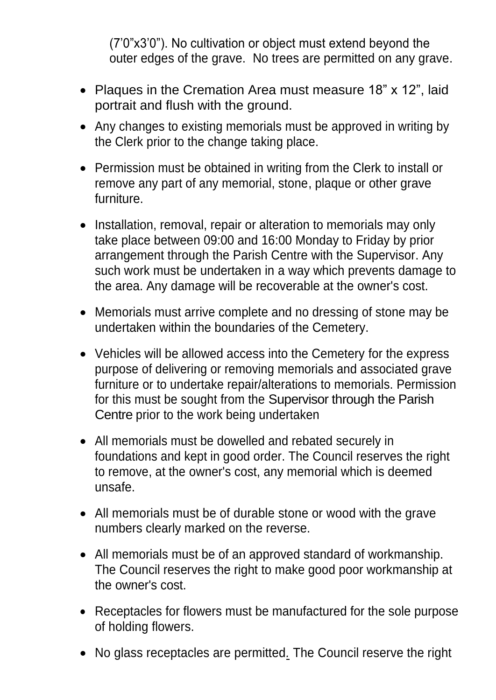(7'0"x3'0"). No cultivation or object must extend beyond the outer edges of the grave. No trees are permitted on any grave.

- Plaques in the Cremation Area must measure 18" x 12", laid portrait and flush with the ground.
- Any changes to existing memorials must be approved in writing by the Clerk prior to the change taking place.
- Permission must be obtained in writing from the Clerk to install or remove any part of any memorial, stone, plaque or other grave furniture.
- Installation, removal, repair or alteration to memorials may only take place between 09:00 and 16:00 Monday to Friday by prior arrangement through the Parish Centre with the Supervisor. Any such work must be undertaken in a way which prevents damage to the area. Any damage will be recoverable at the owner's cost.
- Memorials must arrive complete and no dressing of stone may be undertaken within the boundaries of the Cemetery.
- Vehicles will be allowed access into the Cemetery for the express purpose of delivering or removing memorials and associated grave furniture or to undertake repair/alterations to memorials. Permission for this must be sought from the Supervisor through the Parish Centre prior to the work being undertaken
- All memorials must be dowelled and rebated securely in foundations and kept in good order. The Council reserves the right to remove, at the owner's cost, any memorial which is deemed unsafe.
- All memorials must be of durable stone or wood with the grave numbers clearly marked on the reverse.
- All memorials must be of an approved standard of workmanship. The Council reserves the right to make good poor workmanship at the owner's cost.
- Receptacles for flowers must be manufactured for the sole purpose of holding flowers.
- No glass receptacles are permitted*.* The Council reserve the right